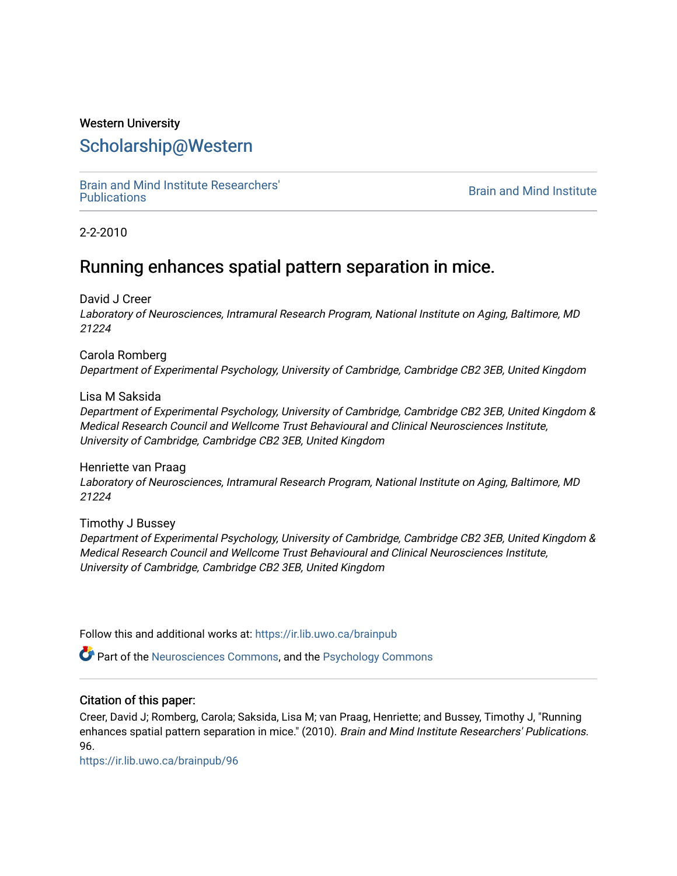## Western University [Scholarship@Western](https://ir.lib.uwo.ca/)

[Brain and Mind Institute Researchers'](https://ir.lib.uwo.ca/brainpub) 

**Brain and Mind Institute** 

2-2-2010

## Running enhances spatial pattern separation in mice.

David J Creer

Laboratory of Neurosciences, Intramural Research Program, National Institute on Aging, Baltimore, MD 21224

Carola Romberg Department of Experimental Psychology, University of Cambridge, Cambridge CB2 3EB, United Kingdom

Lisa M Saksida

Department of Experimental Psychology, University of Cambridge, Cambridge CB2 3EB, United Kingdom & Medical Research Council and Wellcome Trust Behavioural and Clinical Neurosciences Institute, University of Cambridge, Cambridge CB2 3EB, United Kingdom

Henriette van Praag Laboratory of Neurosciences, Intramural Research Program, National Institute on Aging, Baltimore, MD 21224

Timothy J Bussey Department of Experimental Psychology, University of Cambridge, Cambridge CB2 3EB, United Kingdom & Medical Research Council and Wellcome Trust Behavioural and Clinical Neurosciences Institute, University of Cambridge, Cambridge CB2 3EB, United Kingdom

Follow this and additional works at: [https://ir.lib.uwo.ca/brainpub](https://ir.lib.uwo.ca/brainpub?utm_source=ir.lib.uwo.ca%2Fbrainpub%2F96&utm_medium=PDF&utm_campaign=PDFCoverPages)

Part of the [Neurosciences Commons](http://network.bepress.com/hgg/discipline/1010?utm_source=ir.lib.uwo.ca%2Fbrainpub%2F96&utm_medium=PDF&utm_campaign=PDFCoverPages), and the [Psychology Commons](http://network.bepress.com/hgg/discipline/404?utm_source=ir.lib.uwo.ca%2Fbrainpub%2F96&utm_medium=PDF&utm_campaign=PDFCoverPages) 

### Citation of this paper:

Creer, David J; Romberg, Carola; Saksida, Lisa M; van Praag, Henriette; and Bussey, Timothy J, "Running enhances spatial pattern separation in mice." (2010). Brain and Mind Institute Researchers' Publications. 96.

[https://ir.lib.uwo.ca/brainpub/96](https://ir.lib.uwo.ca/brainpub/96?utm_source=ir.lib.uwo.ca%2Fbrainpub%2F96&utm_medium=PDF&utm_campaign=PDFCoverPages)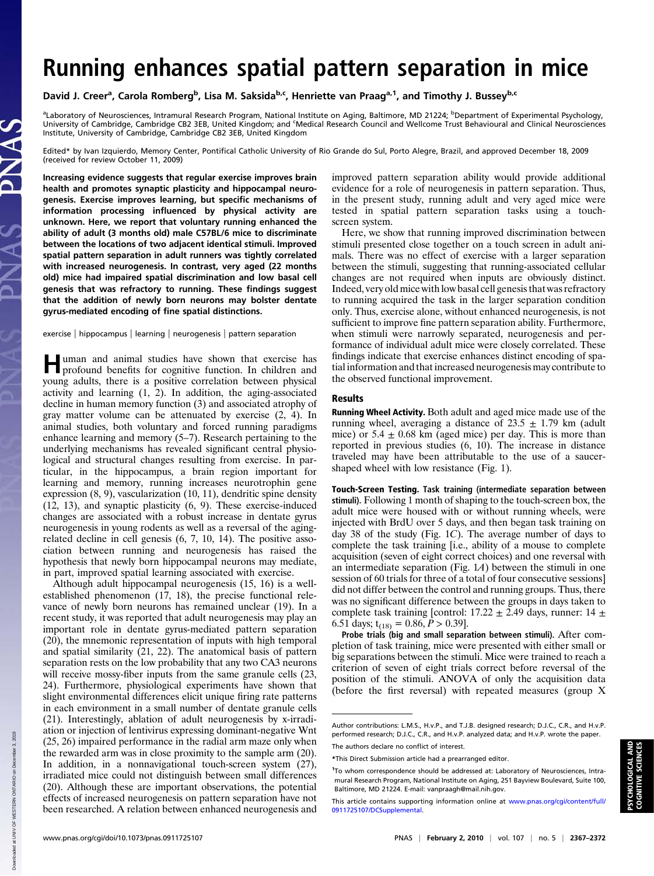# Running enhances spatial pattern separation in mice

David J. Creer<sup>a</sup>, Carola Romberg<sup>b</sup>, Lisa M. Saksida<sup>b,c</sup>, Henriette van Praag<sup>a,1</sup>, and Timothy J. Bussey<sup>b,c</sup>

<sup>a</sup>Laboratory of Neurosciences, Intramural Research Program, National Institute on Aging, Baltimore, MD 21224; <sup>b</sup>Department of Experimental Psychology,<br>University of Cambridge, Cambridge CB2 3EB, United Kingdom; and ʿMedi Institute, University of Cambridge, Cambridge CB2 3EB, United Kingdom

Edited\* by Ivan Izquierdo, Memory Center, Pontifical Catholic University of Rio Grande do Sul, Porto Alegre, Brazil, and approved December 18, 2009 (received for review October 11, 2009)

Increasing evidence suggests that regular exercise improves brain health and promotes synaptic plasticity and hippocampal neurogenesis. Exercise improves learning, but specific mechanisms of information processing influenced by physical activity are unknown. Here, we report that voluntary running enhanced the ability of adult (3 months old) male C57BL/6 mice to discriminate between the locations of two adjacent identical stimuli. Improved spatial pattern separation in adult runners was tightly correlated with increased neurogenesis. In contrast, very aged (22 months old) mice had impaired spatial discrimination and low basal cell genesis that was refractory to running. These findings suggest that the addition of newly born neurons may bolster dentate gyrus-mediated encoding of fine spatial distinctions.

exercise | hippocampus | learning | neurogenesis | pattern separation

Human and animal studies have shown that exercise has profound benefits for cognitive function. In children and young adults, there is a positive correlation between physical activity and learning (1, 2). In addition, the aging-associated decline in human memory function (3) and associated atrophy of gray matter volume can be attenuated by exercise (2, 4). In animal studies, both voluntary and forced running paradigms enhance learning and memory (5–7). Research pertaining to the underlying mechanisms has revealed significant central physiological and structural changes resulting from exercise. In particular, in the hippocampus, a brain region important for learning and memory, running increases neurotrophin gene expression (8, 9), vascularization (10, 11), dendritic spine density  $(12, 13)$ , and synaptic plasticity  $(6, 9)$ . These exercise-induced changes are associated with a robust increase in dentate gyrus neurogenesis in young rodents as well as a reversal of the agingrelated decline in cell genesis (6, 7, 10, 14). The positive association between running and neurogenesis has raised the hypothesis that newly born hippocampal neurons may mediate, in part, improved spatial learning associated with exercise.

Although adult hippocampal neurogenesis (15, 16) is a wellestablished phenomenon (17, 18), the precise functional relevance of newly born neurons has remained unclear (19). In a recent study, it was reported that adult neurogenesis may play an important role in dentate gyrus-mediated pattern separation  $(20)$ , the mnemonic representation of inputs with high temporal and spatial similarity (21, 22). The anatomical basis of pattern separation rests on the low probability that any two CA3 neurons will receive mossy-fiber inputs from the same granule cells  $(23, 12)$ 24). Furthermore, physiological experiments have shown that slight environmental differences elicit unique firing rate patterns in each environment in a small number of dentate granule cells (21). Interestingly, ablation of adult neurogenesis by x-irradiation or injection of lentivirus expressing dominant-negative Wnt (25, 26) impaired performance in the radial arm maze only when the rewarded arm was in close proximity to the sample arm (20). In addition, in a nonnavigational touch-screen system (27), irradiated mice could not distinguish between small differences (20). Although these are important observations, the potential effects of increased neurogenesis on pattern separation have not been researched. A relation between enhanced neurogenesis and improved pattern separation ability would provide additional evidence for a role of neurogenesis in pattern separation. Thus, in the present study, running adult and very aged mice were tested in spatial pattern separation tasks using a touchscreen system.

Here, we show that running improved discrimination between stimuli presented close together on a touch screen in adult animals. There was no effect of exercise with a larger separation between the stimuli, suggesting that running-associated cellular changes are not required when inputs are obviously distinct. Indeed, very old mice with low basal cell genesis that was refractory to running acquired the task in the larger separation condition only. Thus, exercise alone, without enhanced neurogenesis, is not sufficient to improve fine pattern separation ability. Furthermore, when stimuli were narrowly separated, neurogenesis and performance of individual adult mice were closely correlated. These findings indicate that exercise enhances distinct encoding of spatial information and that increased neurogenesis may contribute to the observed functional improvement.

### Results

Running Wheel Activity. Both adult and aged mice made use of the running wheel, averaging a distance of  $23.5 \pm 1.79$  km (adult mice) or  $5.4 \pm 0.68$  km (aged mice) per day. This is more than reported in previous studies (6, 10). The increase in distance traveled may have been attributable to the use of a saucershaped wheel with low resistance (Fig. 1).

Touch-Screen Testing. Task training (intermediate separation between stimuli). Following 1 month of shaping to the touch-screen box, the adult mice were housed with or without running wheels, were injected with BrdU over 5 days, and then began task training on day 38 of the study (Fig. 1C). The average number of days to complete the task training [i.e., ability of a mouse to complete acquisition (seven of eight correct choices) and one reversal with an intermediate separation (Fig. 1A) between the stimuli in one session of 60 trials for three of a total of four consecutive sessions] did not differ between the control and running groups. Thus, there was no significant difference between the groups in days taken to complete task training [control:  $17.22 \pm 2.49$  days, runner:  $14 \pm$ 6.51 days;  $t_{(18)} = 0.86, P > 0.39$ ].

Probe trials (big and small separation between stimuli). After completion of task training, mice were presented with either small or big separations between the stimuli. Mice were trained to reach a criterion of seven of eight trials correct before reversal of the position of the stimuli. ANOVA of only the acquisition data (before the first reversal) with repeated measures (group X

Author contributions: L.M.S., H.v.P., and T.J.B. designed research; D.J.C., C.R., and H.v.P. performed research; D.J.C., C.R., and H.v.P. analyzed data; and H.v.P. wrote the paper.

The authors declare no conflict of interest.

<sup>\*</sup>This Direct Submission article had a prearranged editor.

<sup>&</sup>lt;sup>1</sup>To whom correspondence should be addressed at: Laboratory of Neurosciences, Intramural Research Program, National Institute on Aging, 251 Bayview Boulevard, Suite 100, Baltimore, MD 21224. E-mail: [vanpraagh@mail.nih.gov.](mailto:vanpraagh@mail.nih.gov)

This article contains supporting information online at [www.pnas.org/cgi/content/full/](http://www.pnas.org/cgi/content/full/0911725107/DCSupplemental) [0911725107/DCSupplemental](http://www.pnas.org/cgi/content/full/0911725107/DCSupplemental).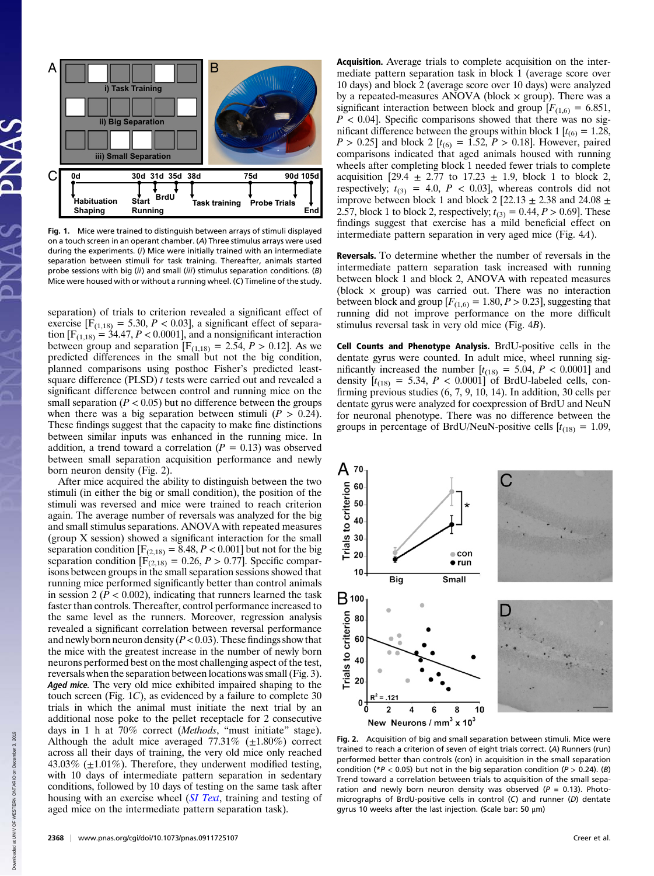

Fig. 1. Mice were trained to distinguish between arrays of stimuli displayed on a touch screen in an operant chamber. (A) Three stimulus arrays were used during the experiments. (i) Mice were initially trained with an intermediate separation between stimuli for task training. Thereafter, animals started probe sessions with big  $(ii)$  and small  $(iii)$  stimulus separation conditions. (B) Mice were housed with or without a running wheel. (C) Timeline of the study.

separation) of trials to criterion revealed a significant effect of exercise  $[F<sub>(1,18)</sub> = 5.30, P < 0.03]$ , a significant effect of separation  $[F_{(1,18)} = 34.47, P < 0.0001]$ , and a nonsignificant interaction between group and separation  $[F_{(1,18)} = 2.54, P > 0.12]$ . As we predicted differences in the small but not the big condition, planned comparisons using posthoc Fisher's predicted leastsquare difference (PLSD)  $t$  tests were carried out and revealed a significant difference between control and running mice on the small separation ( $P < 0.05$ ) but no difference between the groups when there was a big separation between stimuli ( $P > 0.24$ ). These findings suggest that the capacity to make fine distinctions between similar inputs was enhanced in the running mice. In addition, a trend toward a correlation ( $P = 0.13$ ) was observed between small separation acquisition performance and newly born neuron density (Fig. 2).

After mice acquired the ability to distinguish between the two stimuli (in either the big or small condition), the position of the stimuli was reversed and mice were trained to reach criterion again. The average number of reversals was analyzed for the big and small stimulus separations. ANOVA with repeated measures (group X session) showed a significant interaction for the small separation condition  $[F_{(2,18)} = 8.48, P < 0.001]$  but not for the big separation condition  $[F(2,18)] = 0.26$ ,  $P > 0.77$ ]. Specific comparisons between groups in the small separation sessions showed that running mice performed significantly better than control animals in session 2 ( $P < 0.002$ ), indicating that runners learned the task faster than controls. Thereafter, control performance increased to the same level as the runners. Moreover, regression analysis revealed a significant correlation between reversal performance and newly born neuron density ( $P < 0.03$ ). These findings show that the mice with the greatest increase in the number of newly born neurons performed best on the most challenging aspect of the test, reversals when the separation between locations was small (Fig. 3). Aged mice. The very old mice exhibited impaired shaping to the touch screen (Fig.  $1C$ ), as evidenced by a failure to complete 30 trials in which the animal must initiate the next trial by an additional nose poke to the pellet receptacle for 2 consecutive days in 1 h at 70% correct (Methods, "must initiate" stage). Although the adult mice averaged  $77.31\%$  ( $\pm 1.80\%$ ) correct across all their days of training, the very old mice only reached 43.03% ( $\pm$ 1.01%). Therefore, they underwent modified testing, with 10 days of intermediate pattern separation in sedentary conditions, followed by 10 days of testing on the same task after housing with an exercise wheel ([SI Text](http://www.pnas.org/cgi/data/0911725107/DCSupplemental/Supplemental_PDF#nameddest=STXT), training and testing of aged mice on the intermediate pattern separation task).

Acquisition. Average trials to complete acquisition on the intermediate pattern separation task in block 1 (average score over 10 days) and block 2 (average score over 10 days) were analyzed by a repeated-measures ANOVA (block  $\times$  group). There was a significant interaction between block and group  $[F_{(1,6)} = 6.851]$ ,  $P < 0.04$ . Specific comparisons showed that there was no significant difference between the groups within block 1  $[t_{(6)} = 1.28]$ ,  $P > 0.25$ ] and block 2 [ $t_{(6)} = 1.52, P > 0.18$ ]. However, paired comparisons indicated that aged animals housed with running wheels after completing block 1 needed fewer trials to complete acquisition  $[29.4 \pm 2.77]$  to  $17.23 \pm 1.9$ , block 1 to block 2, respectively;  $t_{(3)} = 4.0$ ,  $P < 0.03$ ], whereas controls did not improve between block 1 and block 2 [22.13  $\pm$  2.38 and 24.08  $\pm$ 2.57, block 1 to block 2, respectively;  $t_{(3)} = 0.44, P > 0.69$ . These findings suggest that exercise has a mild beneficial effect on intermediate pattern separation in very aged mice (Fig. 4A).

Reversals. To determine whether the number of reversals in the intermediate pattern separation task increased with running between block 1 and block 2, ANOVA with repeated measures (block × group) was carried out. There was no interaction between block and group  $[F_{(1,6)} = 1.80, P > 0.23]$ , suggesting that running did not improve performance on the more difficult stimulus reversal task in very old mice (Fig. 4B).

Cell Counts and Phenotype Analysis. BrdU-positive cells in the dentate gyrus were counted. In adult mice, wheel running significantly increased the number  $[t_{(18)} = 5.04, P < 0.0001]$  and density  $[t_{(18)} = 5.34, P < 0.0001]$  of BrdU-labeled cells, confirming previous studies (6, 7, 9, 10, 14). In addition, 30 cells per dentate gyrus were analyzed for coexpression of BrdU and NeuN for neuronal phenotype. There was no difference between the groups in percentage of BrdU/NeuN-positive cells  $[t_{(18)} = 1.09]$ ,



Fig. 2. Acquisition of big and small separation between stimuli. Mice were trained to reach a criterion of seven of eight trials correct. (A) Runners (run) performed better than controls (con) in acquisition in the small separation condition (\* $P < 0.05$ ) but not in the big separation condition ( $P > 0.24$ ). (B) Trend toward a correlation between trials to acquisition of the small separation and newly born neuron density was observed ( $P = 0.13$ ). Photomicrographs of BrdU-positive cells in control (C) and runner (D) dentate gyrus 10 weeks after the last injection. (Scale bar: 50 μm)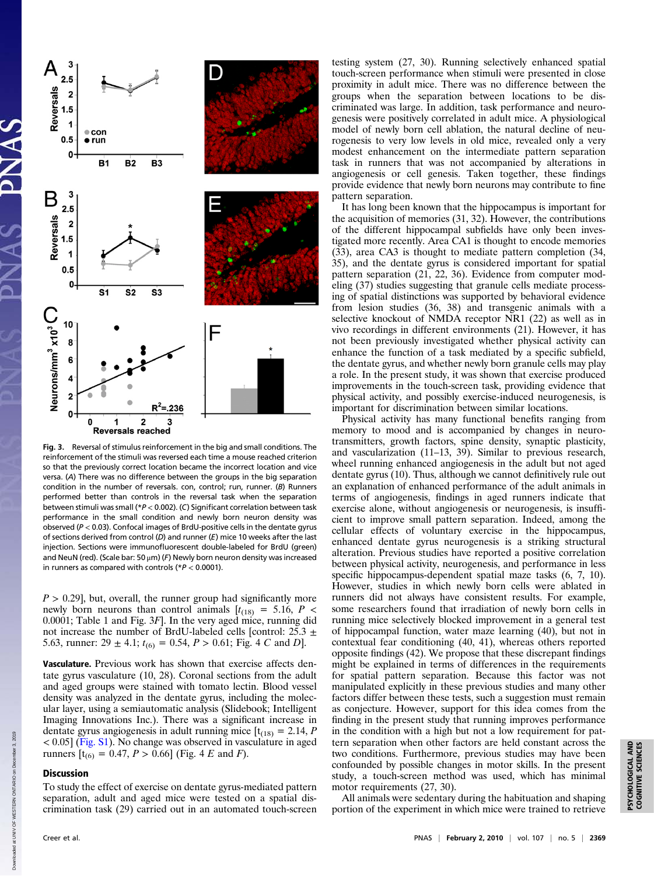

Fig. 3. Reversal of stimulus reinforcement in the big and small conditions. The reinforcement of the stimuli was reversed each time a mouse reached criterion so that the previously correct location became the incorrect location and vice versa. (A) There was no difference between the groups in the big separation condition in the number of reversals. con, control; run, runner. (B) Runners performed better than controls in the reversal task when the separation between stimuli was small (\*P < 0.002). (C) Significant correlation between task performance in the small condition and newly born neuron density was observed ( $P < 0.03$ ). Confocal images of BrdU-positive cells in the dentate gyrus of sections derived from control  $(D)$  and runner  $(E)$  mice 10 weeks after the last injection. Sections were immunofluorescent double-labeled for BrdU (green) and NeuN (red). (Scale bar: 50  $\mu$ m) (F) Newly born neuron density was increased in runners as compared with controls ( $P < 0.0001$ ).

 $P > 0.29$ , but, overall, the runner group had significantly more newly born neurons than control animals  $[t<sub>(18)</sub>] = 5.16, P <$ 0.0001; Table 1 and Fig. 3F]. In the very aged mice, running did not increase the number of BrdU-labeled cells [control:  $25.3 \pm$ 5.63, runner:  $29 \pm 4.1$ ;  $t_{(6)} = 0.54$ ,  $P > 0.61$ ; Fig. 4 C and D].

Vasculature. Previous work has shown that exercise affects dentate gyrus vasculature (10, 28). Coronal sections from the adult and aged groups were stained with tomato lectin. Blood vessel density was analyzed in the dentate gyrus, including the molecular layer, using a semiautomatic analysis (Slidebook; Intelligent Imaging Innovations Inc.). There was a significant increase in dentate gyrus angiogenesis in adult running mice  $[t<sub>(18)</sub>] = 2.14, P$ < 0.05] [\(Fig. S1](http://www.pnas.org/cgi/data/0911725107/DCSupplemental/Supplemental_PDF#nameddest=sfig01)). No change was observed in vasculature in aged runners  $[t_{(6)} = 0.47, P > 0.66]$  (Fig. 4 *E* and *F*).

### Discussion

To study the effect of exercise on dentate gyrus-mediated pattern separation, adult and aged mice were tested on a spatial discrimination task (29) carried out in an automated touch-screen testing system (27, 30). Running selectively enhanced spatial touch-screen performance when stimuli were presented in close proximity in adult mice. There was no difference between the groups when the separation between locations to be discriminated was large. In addition, task performance and neurogenesis were positively correlated in adult mice. A physiological model of newly born cell ablation, the natural decline of neurogenesis to very low levels in old mice, revealed only a very modest enhancement on the intermediate pattern separation task in runners that was not accompanied by alterations in angiogenesis or cell genesis. Taken together, these findings provide evidence that newly born neurons may contribute to fine pattern separation.

It has long been known that the hippocampus is important for the acquisition of memories (31, 32). However, the contributions of the different hippocampal subfields have only been investigated more recently. Area CA1 is thought to encode memories (33), area CA3 is thought to mediate pattern completion (34, 35), and the dentate gyrus is considered important for spatial pattern separation (21, 22, 36). Evidence from computer modeling (37) studies suggesting that granule cells mediate processing of spatial distinctions was supported by behavioral evidence from lesion studies (36, 38) and transgenic animals with a selective knockout of NMDA receptor NR1 (22) as well as in vivo recordings in different environments (21). However, it has not been previously investigated whether physical activity can enhance the function of a task mediated by a specific subfield, the dentate gyrus, and whether newly born granule cells may play a role. In the present study, it was shown that exercise produced improvements in the touch-screen task, providing evidence that physical activity, and possibly exercise-induced neurogenesis, is important for discrimination between similar locations.

Physical activity has many functional benefits ranging from memory to mood and is accompanied by changes in neurotransmitters, growth factors, spine density, synaptic plasticity, and vascularization (11–13, 39). Similar to previous research, wheel running enhanced angiogenesis in the adult but not aged dentate gyrus (10). Thus, although we cannot definitively rule out an explanation of enhanced performance of the adult animals in terms of angiogenesis, findings in aged runners indicate that exercise alone, without angiogenesis or neurogenesis, is insufficient to improve small pattern separation. Indeed, among the cellular effects of voluntary exercise in the hippocampus, enhanced dentate gyrus neurogenesis is a striking structural alteration. Previous studies have reported a positive correlation between physical activity, neurogenesis, and performance in less specific hippocampus-dependent spatial maze tasks (6, 7, 10). However, studies in which newly born cells were ablated in runners did not always have consistent results. For example, some researchers found that irradiation of newly born cells in running mice selectively blocked improvement in a general test of hippocampal function, water maze learning (40), but not in contextual fear conditioning (40, 41), whereas others reported opposite findings (42). We propose that these discrepant findings might be explained in terms of differences in the requirements for spatial pattern separation. Because this factor was not manipulated explicitly in these previous studies and many other factors differ between these tests, such a suggestion must remain as conjecture. However, support for this idea comes from the finding in the present study that running improves performance in the condition with a high but not a low requirement for pattern separation when other factors are held constant across the two conditions. Furthermore, previous studies may have been confounded by possible changes in motor skills. In the present study, a touch-screen method was used, which has minimal motor requirements (27, 30).

All animals were sedentary during the habituation and shaping portion of the experiment in which mice were trained to retrieve

Downloaded at UNIV OF WESTERN ONTARIO on December 3, 2019

Down

loaded at UNIV OF WESTERN ONTARIO on December 3, 2019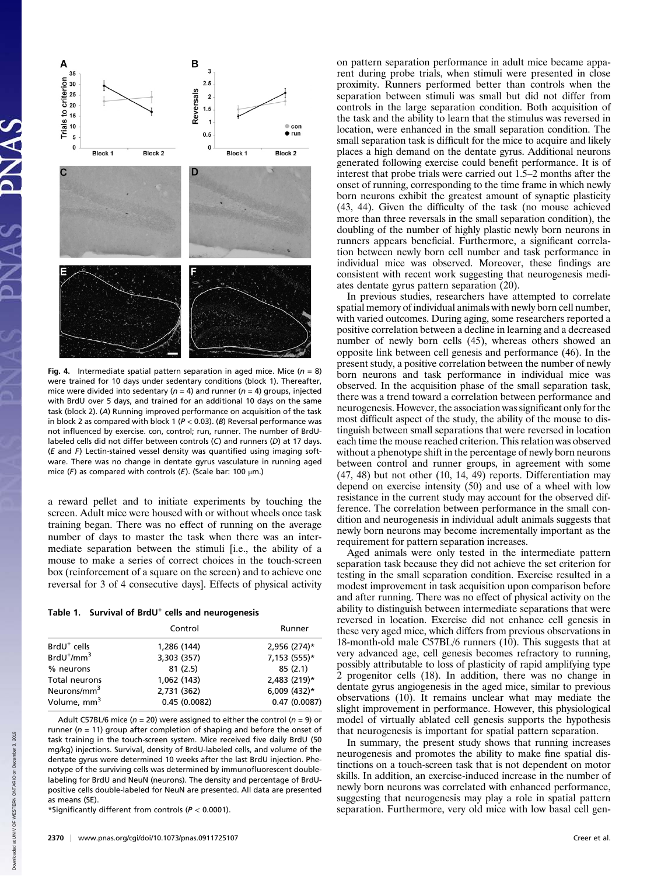

Fig. 4. Intermediate spatial pattern separation in aged mice. Mice ( $n = 8$ ) were trained for 10 days under sedentary conditions (block 1). Thereafter, mice were divided into sedentary ( $n = 4$ ) and runner ( $n = 4$ ) groups, injected with BrdU over 5 days, and trained for an additional 10 days on the same task (block 2). (A) Running improved performance on acquisition of the task in block 2 as compared with block 1 ( $P < 0.03$ ). (B) Reversal performance was not influenced by exercise. con, control; run, runner. The number of BrdUlabeled cells did not differ between controls (C) and runners (D) at 17 days.  $(E \text{ and } F)$  Lectin-stained vessel density was quantified using imaging software. There was no change in dentate gyrus vasculature in running aged mice (F) as compared with controls (E). (Scale bar: 100  $\mu$ m.)

a reward pellet and to initiate experiments by touching the screen. Adult mice were housed with or without wheels once task training began. There was no effect of running on the average number of days to master the task when there was an intermediate separation between the stimuli [i.e., the ability of a mouse to make a series of correct choices in the touch-screen box (reinforcement of a square on the screen) and to achieve one reversal for 3 of 4 consecutive days]. Effects of physical activity

|  |  | Table 1. Survival of BrdU <sup>+</sup> cells and neurogenesis |
|--|--|---------------------------------------------------------------|
|  |  |                                                               |

|                         | Control      | Runner         |
|-------------------------|--------------|----------------|
| $BrdU^+$ cells          | 1,286 (144)  | 2,956 (274)*   |
| $BrdU^{+}/mm^{3}$       | 3,303 (357)  | 7,153 (555)*   |
| % neurons               | 81(2.5)      | 85(2.1)        |
| Total neurons           | 1,062 (143)  | 2,483 (219)*   |
| Neurons/mm <sup>3</sup> | 2,731 (362)  | $6,009$ (432)* |
| Volume, mm <sup>3</sup> | 0.45(0.0082) | 0.47(0.0087)   |

Adult C57BL/6 mice ( $n = 20$ ) were assigned to either the control ( $n = 9$ ) or runner ( $n = 11$ ) group after completion of shaping and before the onset of task training in the touch-screen system. Mice received five daily BrdU (50 mg/kg) injections. Survival, density of BrdU-labeled cells, and volume of the dentate gyrus were determined 10 weeks after the last BrdU injection. Phenotype of the surviving cells was determined by immunofluorescent doublelabeling for BrdU and NeuN (neurons). The density and percentage of BrdUpositive cells double-labeled for NeuN are presented. All data are presented as means (SE).

\*Significantly different from controls ( $P < 0.0001$ ).

on pattern separation performance in adult mice became apparent during probe trials, when stimuli were presented in close proximity. Runners performed better than controls when the separation between stimuli was small but did not differ from controls in the large separation condition. Both acquisition of the task and the ability to learn that the stimulus was reversed in location, were enhanced in the small separation condition. The small separation task is difficult for the mice to acquire and likely places a high demand on the dentate gyrus. Additional neurons generated following exercise could benefit performance. It is of interest that probe trials were carried out 1.5–2 months after the onset of running, corresponding to the time frame in which newly born neurons exhibit the greatest amount of synaptic plasticity (43, 44). Given the difficulty of the task (no mouse achieved more than three reversals in the small separation condition), the doubling of the number of highly plastic newly born neurons in runners appears beneficial. Furthermore, a significant correlation between newly born cell number and task performance in individual mice was observed. Moreover, these findings are consistent with recent work suggesting that neurogenesis mediates dentate gyrus pattern separation (20).

In previous studies, researchers have attempted to correlate spatial memory of individual animals with newly born cell number, with varied outcomes. During aging, some researchers reported a positive correlation between a decline in learning and a decreased number of newly born cells (45), whereas others showed an opposite link between cell genesis and performance (46). In the present study, a positive correlation between the number of newly born neurons and task performance in individual mice was observed. In the acquisition phase of the small separation task, there was a trend toward a correlation between performance and neurogenesis. However, the association was significant only for the most difficult aspect of the study, the ability of the mouse to distinguish between small separations that were reversed in location each time the mouse reached criterion. This relation was observed without a phenotype shift in the percentage of newly born neurons between control and runner groups, in agreement with some (47, 48) but not other (10, 14, 49) reports. Differentiation may depend on exercise intensity (50) and use of a wheel with low resistance in the current study may account for the observed difference. The correlation between performance in the small condition and neurogenesis in individual adult animals suggests that newly born neurons may become incrementally important as the requirement for pattern separation increases.

Aged animals were only tested in the intermediate pattern separation task because they did not achieve the set criterion for testing in the small separation condition. Exercise resulted in a modest improvement in task acquisition upon comparison before and after running. There was no effect of physical activity on the ability to distinguish between intermediate separations that were reversed in location. Exercise did not enhance cell genesis in these very aged mice, which differs from previous observations in 18-month-old male C57BL/6 runners (10). This suggests that at very advanced age, cell genesis becomes refractory to running, possibly attributable to loss of plasticity of rapid amplifying type 2 progenitor cells (18). In addition, there was no change in dentate gyrus angiogenesis in the aged mice, similar to previous observations (10). It remains unclear what may mediate the slight improvement in performance. However, this physiological model of virtually ablated cell genesis supports the hypothesis that neurogenesis is important for spatial pattern separation.

In summary, the present study shows that running increases neurogenesis and promotes the ability to make fine spatial distinctions on a touch-screen task that is not dependent on motor skills. In addition, an exercise-induced increase in the number of newly born neurons was correlated with enhanced performance, suggesting that neurogenesis may play a role in spatial pattern separation. Furthermore, very old mice with low basal cell gen-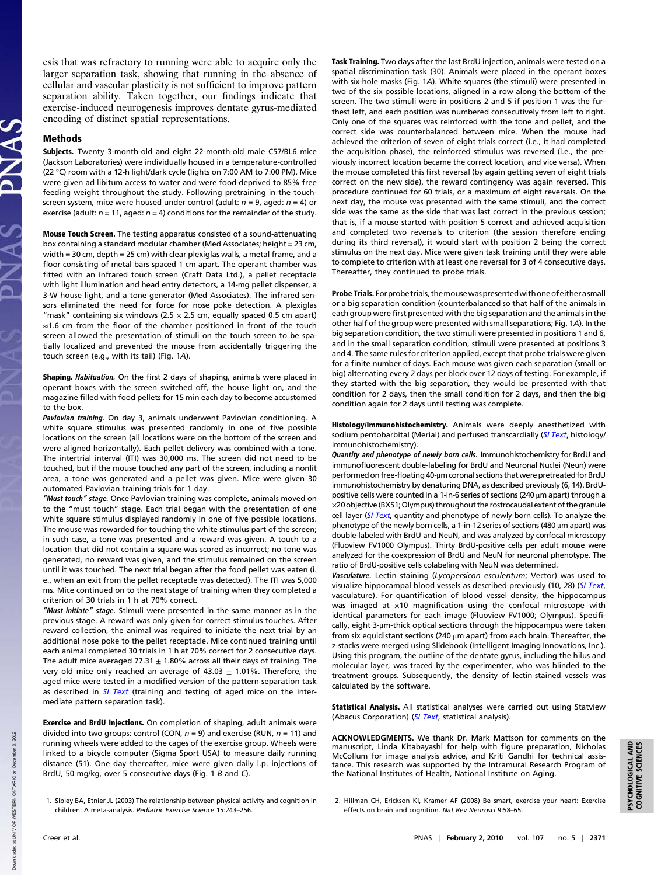esis that was refractory to running were able to acquire only the larger separation task, showing that running in the absence of cellular and vascular plasticity is not sufficient to improve pattern separation ability. Taken together, our findings indicate that exercise-induced neurogenesis improves dentate gyrus-mediated encoding of distinct spatial representations.

#### Methods

Subjects. Twenty 3-month-old and eight 22-month-old male C57/BL6 mice (Jackson Laboratories) were individually housed in a temperature-controlled (22 °C) room with a 12-h light/dark cycle (lights on 7:00 AM to 7:00 PM). Mice were given ad libitum access to water and were food-deprived to 85% free feeding weight throughout the study. Following pretraining in the touchscreen system, mice were housed under control (adult:  $n = 9$ , aged:  $n = 4$ ) or exercise (adult:  $n = 11$ , aged:  $n = 4$ ) conditions for the remainder of the study.

Mouse Touch Screen. The testing apparatus consisted of a sound-attenuating box containing a standard modular chamber (Med Associates; height = 23 cm, width = 30 cm, depth = 25 cm) with clear plexiglas walls, a metal frame, and a floor consisting of metal bars spaced 1 cm apart. The operant chamber was fitted with an infrared touch screen (Craft Data Ltd.), a pellet receptacle with light illumination and head entry detectors, a 14-mg pellet dispenser, a 3-W house light, and a tone generator (Med Associates). The infrared sensors eliminated the need for force for nose poke detection. A plexiglas "mask" containing six windows (2.5  $\times$  2.5 cm, equally spaced 0.5 cm apart) ≈1.6 cm from the floor of the chamber positioned in front of the touch screen allowed the presentation of stimuli on the touch screen to be spatially localized and prevented the mouse from accidentally triggering the touch screen (e.g., with its tail) (Fig. 1A).

Shaping. Habituation. On the first 2 days of shaping, animals were placed in operant boxes with the screen switched off, the house light on, and the magazine filled with food pellets for 15 min each day to become accustomed to the box.

Pavlovian training. On day 3, animals underwent Pavlovian conditioning. A white square stimulus was presented randomly in one of five possible locations on the screen (all locations were on the bottom of the screen and were aligned horizontally). Each pellet delivery was combined with a tone. The intertrial interval (ITI) was 30,000 ms. The screen did not need to be touched, but if the mouse touched any part of the screen, including a nonlit area, a tone was generated and a pellet was given. Mice were given 30 automated Pavlovian training trials for 1 day.

"Must touch" stage. Once Pavlovian training was complete, animals moved on to the "must touch" stage. Each trial began with the presentation of one white square stimulus displayed randomly in one of five possible locations. The mouse was rewarded for touching the white stimulus part of the screen; in such case, a tone was presented and a reward was given. A touch to a location that did not contain a square was scored as incorrect; no tone was generated, no reward was given, and the stimulus remained on the screen until it was touched. The next trial began after the food pellet was eaten (i. e., when an exit from the pellet receptacle was detected). The ITI was 5,000 ms. Mice continued on to the next stage of training when they completed a criterion of 30 trials in 1 h at 70% correct.

"Must initiate" stage. Stimuli were presented in the same manner as in the previous stage. A reward was only given for correct stimulus touches. After reward collection, the animal was required to initiate the next trial by an additional nose poke to the pellet receptacle. Mice continued training until each animal completed 30 trials in 1 h at 70% correct for 2 consecutive days. The adult mice averaged 77.31  $\pm$  1.80% across all their days of training. The very old mice only reached an average of 43.03  $\pm$  1.01%. Therefore, the aged mice were tested in a modified version of the pattern separation task as described in [SI Text](http://www.pnas.org/cgi/data/0911725107/DCSupplemental/Supplemental_PDF#nameddest=STXT) (training and testing of aged mice on the intermediate pattern separation task).

Exercise and BrdU Injections. On completion of shaping, adult animals were divided into two groups: control (CON,  $n = 9$ ) and exercise (RUN,  $n = 11$ ) and running wheels were added to the cages of the exercise group. Wheels were linked to a bicycle computer (Sigma Sport USA) to measure daily running distance (51). One day thereafter, mice were given daily i.p. injections of BrdU, 50 mg/kg, over 5 consecutive days (Fig. 1 B and C).

1. Sibley BA, Etnier JL (2003) The relationship between physical activity and cognition in children: A meta-analysis. Pediatric Exercise Science 15:243–256.

Task Training. Two days after the last BrdU injection, animals were tested on a spatial discrimination task (30). Animals were placed in the operant boxes with six-hole masks (Fig. 1A). White squares (the stimuli) were presented in two of the six possible locations, aligned in a row along the bottom of the screen. The two stimuli were in positions 2 and 5 if position 1 was the furthest left, and each position was numbered consecutively from left to right. Only one of the squares was reinforced with the tone and pellet, and the correct side was counterbalanced between mice. When the mouse had achieved the criterion of seven of eight trials correct (i.e., it had completed the acquisition phase), the reinforced stimulus was reversed (i.e., the previously incorrect location became the correct location, and vice versa). When the mouse completed this first reversal (by again getting seven of eight trials correct on the new side), the reward contingency was again reversed. This procedure continued for 60 trials, or a maximum of eight reversals. On the next day, the mouse was presented with the same stimuli, and the correct side was the same as the side that was last correct in the previous session; that is, if a mouse started with position 5 correct and achieved acquisition and completed two reversals to criterion (the session therefore ending during its third reversal), it would start with position 2 being the correct stimulus on the next day. Mice were given task training until they were able to complete to criterion with at least one reversal for 3 of 4 consecutive days. Thereafter, they continued to probe trials.

Probe Trials. For probe trials, the mouse was presented with one of either a small or a big separation condition (counterbalanced so that half of the animals in each group were first presented with the big separation and the animals in the other half of the group were presented with small separations; Fig. 1A). In the big separation condition, the two stimuli were presented in positions 1 and 6, and in the small separation condition, stimuli were presented at positions 3 and 4. The same rules for criterion applied, except that probe trials were given for a finite number of days. Each mouse was given each separation (small or big) alternating every 2 days per block over 12 days of testing. For example, if they started with the big separation, they would be presented with that condition for 2 days, then the small condition for 2 days, and then the big condition again for 2 days until testing was complete.

Histology/Immunohistochemistry. Animals were deeply anesthetized with sodium pentobarbital (Merial) and perfused transcardially ([SI Text](http://www.pnas.org/cgi/data/0911725107/DCSupplemental/Supplemental_PDF#nameddest=STXT), histology/ immunohistochemistry).

Quantity and phenotype of newly born cells. Immunohistochemistry for BrdU and immunofluorescent double-labeling for BrdU and Neuronal Nuclei (Neun) were performed on free-floating 40-μm coronal sections that were pretreated for BrdU immunohistochemistry by denaturing DNA, as described previously (6, 14). BrdUpositive cells were counted in a 1-in-6 series of sections (240 μm apart) through a ×20objective (BX51; Olympus) throughout the rostrocaudal extent of the granule cell layer ([SI Text](http://www.pnas.org/cgi/data/0911725107/DCSupplemental/Supplemental_PDF#nameddest=STXT), quantity and phenotype of newly born cells). To analyze the phenotype of the newly born cells, a 1-in-12 series of sections (480 μm apart) was double-labeled with BrdU and NeuN, and was analyzed by confocal microscopy (Fluoview FV1000 Olympus). Thirty BrdU-positive cells per adult mouse were analyzed for the coexpression of BrdU and NeuN for neuronal phenotype. The ratio of BrdU-positive cells colabeling with NeuN was determined.

Vasculature. Lectin staining (Lycopersicon esculentum; Vector) was used to visualize hippocampal blood vessels as described previously (10, 28) ([SI Text](http://www.pnas.org/cgi/data/0911725107/DCSupplemental/Supplemental_PDF#nameddest=STXT), vasculature). For quantification of blood vessel density, the hippocampus was imaged at ×10 magnification using the confocal microscope with identical parameters for each image (Fluoview FV1000; Olympus). Specifically, eight 3-μm-thick optical sections through the hippocampus were taken from six equidistant sections (240  $\mu$ m apart) from each brain. Thereafter, the z-stacks were merged using Slidebook (Intelligent Imaging Innovations, Inc.). Using this program, the outline of the dentate gyrus, including the hilus and molecular layer, was traced by the experimenter, who was blinded to the treatment groups. Subsequently, the density of lectin-stained vessels was calculated by the software.

Statistical Analysis. All statistical analyses were carried out using Statview (Abacus Corporation) ([SI Text](http://www.pnas.org/cgi/data/0911725107/DCSupplemental/Supplemental_PDF#nameddest=STXT), statistical analysis).

ACKNOWLEDGMENTS. We thank Dr. Mark Mattson for comments on the manuscript, Linda Kitabayashi for help with figure preparation, Nicholas McCollum for image analysis advice, and Kriti Gandhi for technical assistance. This research was supported by the Intramural Research Program of the National Institutes of Health, National Institute on Aging.

2. Hillman CH, Erickson KI, Kramer AF (2008) Be smart, exercise your heart: Exercise effects on brain and cognition. Nat Rev Neurosci 9:58–65.

Downloaded at UNIV OF WESTERN ONTARIO on December 3, 2019

at UNIV OF

Down

WESTERN ONTARIO on December 3, 2019